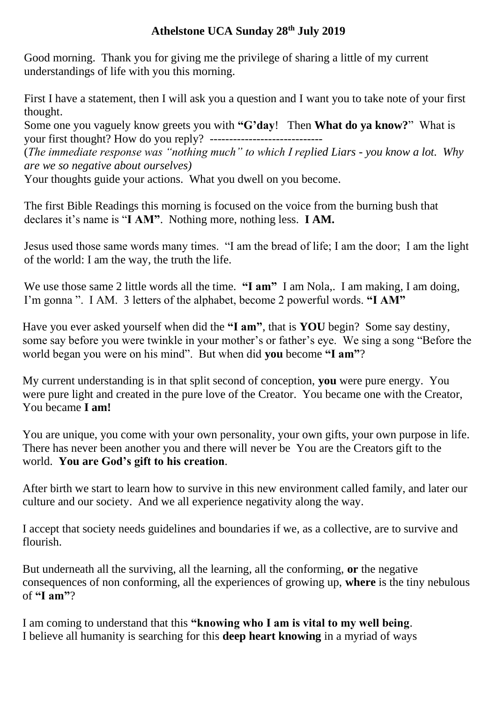## **Athelstone UCA Sunday 28th July 2019**

Good morning. Thank you for giving me the privilege of sharing a little of my current understandings of life with you this morning.

First I have a statement, then I will ask you a question and I want you to take note of your first thought.

Some one you vaguely know greets you with **"G'day**! Then **What do ya know?**" What is your first thought? How do you reply? -----------------------------

(*The immediate response was "nothing much" to which I replied Liars - you know a lot. Why are we so negative about ourselves)*

Your thoughts guide your actions. What you dwell on you become.

The first Bible Readings this morning is focused on the voice from the burning bush that declares it's name is "**I AM"**. Nothing more, nothing less. **I AM.** 

Jesus used those same words many times. "I am the bread of life; I am the door; I am the light of the world: I am the way, the truth the life.

We use those same 2 little words all the time. **"I am"** I am Nola,. I am making, I am doing, I'm gonna ". I AM. 3 letters of the alphabet, become 2 powerful words. **"I AM"**

Have you ever asked yourself when did the **"I am"**, that is **YOU** begin? Some say destiny, some say before you were twinkle in your mother's or father's eye. We sing a song "Before the world began you were on his mind". But when did **you** become **"I am"**?

My current understanding is in that split second of conception, **you** were pure energy. You were pure light and created in the pure love of the Creator. You became one with the Creator, You became **I am!**

You are unique, you come with your own personality, your own gifts, your own purpose in life. There has never been another you and there will never be You are the Creators gift to the world. **You are God's gift to his creation**.

After birth we start to learn how to survive in this new environment called family, and later our culture and our society. And we all experience negativity along the way.

I accept that society needs guidelines and boundaries if we, as a collective, are to survive and flourish.

But underneath all the surviving, all the learning, all the conforming, **or** the negative consequences of non conforming, all the experiences of growing up, **where** is the tiny nebulous of **"I am"**?

I am coming to understand that this **"knowing who I am is vital to my well being**. I believe all humanity is searching for this **deep heart knowing** in a myriad of ways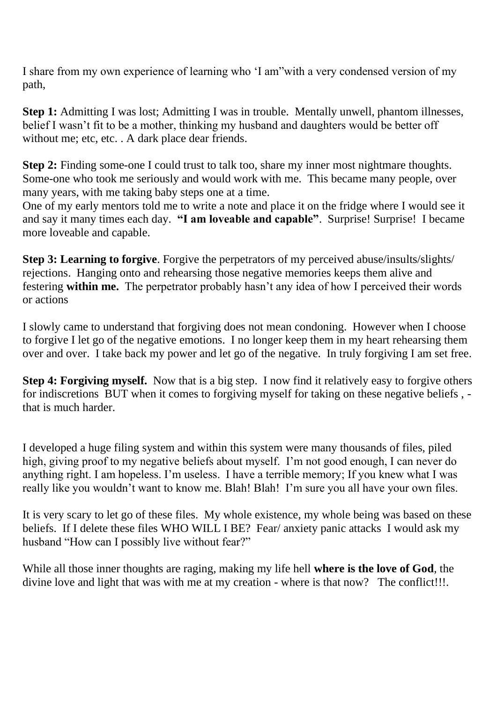I share from my own experience of learning who 'I am"with a very condensed version of my path,

**Step 1:** Admitting I was lost; Admitting I was in trouble. Mentally unwell, phantom illnesses, belief I wasn't fit to be a mother, thinking my husband and daughters would be better off without me; etc, etc. . A dark place dear friends.

Step 2: Finding some-one I could trust to talk too, share my inner most nightmare thoughts. Some-one who took me seriously and would work with me. This became many people, over many years, with me taking baby steps one at a time.

One of my early mentors told me to write a note and place it on the fridge where I would see it and say it many times each day. **"I am loveable and capable"**. Surprise! Surprise! I became more loveable and capable.

**Step 3: Learning to forgive**. Forgive the perpetrators of my perceived abuse/insults/slights/ rejections. Hanging onto and rehearsing those negative memories keeps them alive and festering **within me.** The perpetrator probably hasn't any idea of how I perceived their words or actions

I slowly came to understand that forgiving does not mean condoning. However when I choose to forgive I let go of the negative emotions. I no longer keep them in my heart rehearsing them over and over. I take back my power and let go of the negative. In truly forgiving I am set free.

**Step 4: Forgiving myself.** Now that is a big step. I now find it relatively easy to forgive others for indiscretions BUT when it comes to forgiving myself for taking on these negative beliefs , that is much harder.

I developed a huge filing system and within this system were many thousands of files, piled high, giving proof to my negative beliefs about myself. I'm not good enough, I can never do anything right. I am hopeless. I'm useless. I have a terrible memory; If you knew what I was really like you wouldn't want to know me. Blah! Blah! I'm sure you all have your own files.

It is very scary to let go of these files. My whole existence, my whole being was based on these beliefs. If I delete these files WHO WILL I BE? Fear/ anxiety panic attacks I would ask my husband "How can I possibly live without fear?"

While all those inner thoughts are raging, making my life hell **where is the love of God**, the divine love and light that was with me at my creation - where is that now? The conflict!!!.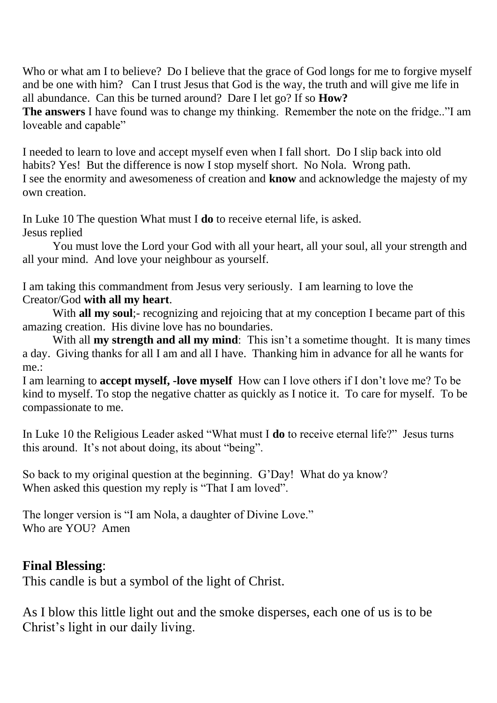Who or what am I to believe? Do I believe that the grace of God longs for me to forgive myself and be one with him? Can I trust Jesus that God is the way, the truth and will give me life in all abundance. Can this be turned around? Dare I let go? If so **How?**

**The answers** I have found was to change my thinking. Remember the note on the fridge.."I am loveable and capable"

I needed to learn to love and accept myself even when I fall short. Do I slip back into old habits? Yes! But the difference is now I stop myself short. No Nola. Wrong path. I see the enormity and awesomeness of creation and **know** and acknowledge the majesty of my own creation.

In Luke 10 The question What must I **do** to receive eternal life, is asked. Jesus replied

You must love the Lord your God with all your heart, all your soul, all your strength and all your mind. And love your neighbour as yourself.

I am taking this commandment from Jesus very seriously. I am learning to love the Creator/God **with all my heart**.

With **all my soul**;- recognizing and rejoicing that at my conception I became part of this amazing creation. His divine love has no boundaries.

With all **my strength and all my mind**: This isn't a sometime thought. It is many times a day. Giving thanks for all I am and all I have. Thanking him in advance for all he wants for me.:

I am learning to **accept myself, -love myself** How can I love others if I don't love me? To be kind to myself. To stop the negative chatter as quickly as I notice it. To care for myself. To be compassionate to me.

In Luke 10 the Religious Leader asked "What must I **do** to receive eternal life?" Jesus turns this around. It's not about doing, its about "being".

So back to my original question at the beginning. G'Day! What do ya know? When asked this question my reply is "That I am loved".

The longer version is "I am Nola, a daughter of Divine Love." Who are YOU? Amen

## **Final Blessing**:

This candle is but a symbol of the light of Christ.

As I blow this little light out and the smoke disperses, each one of us is to be Christ's light in our daily living.